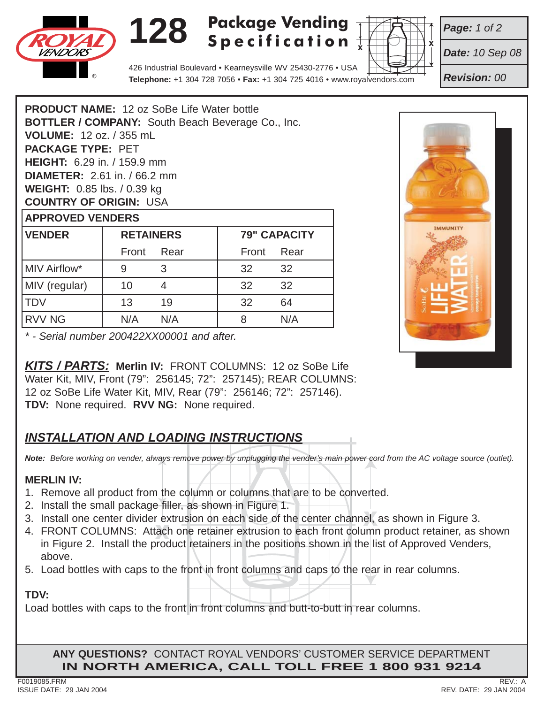

# **128 Package Vending Specification**



*Page: 1 of 2*

*Date: 10 Sep 08*

*Revision: 00*

426 Industrial Boulevard • Kearneysville WV 25430-2776 • USA **Telephone:** +1 304 728 7056 • **Fax:** +1 304 725 4016 • www.royalvendors.com

**PRODUCT NAME:** 12 oz SoBe Life Water bottle **BOTTLER / COMPANY:** South Beach Beverage Co., Inc. **VOLUME:** 12 oz. / 355 mL **PACKAGE TYPE:** PET **HEIGHT:** 6.29 in. / 159.9 mm **DIAMETER:** 2.61 in. / 66.2 mm **WEIGHT:** 0.85 lbs. / 0.39 kg **COUNTRY OF ORIGIN:** USA **APPROVED VENDERS**

| <b>VENDER</b> | <b>RETAINERS</b> |      | <b>79" CAPACITY</b> |      |
|---------------|------------------|------|---------------------|------|
|               | Front            | Rear | Front               | Rear |
| MIV Airflow*  | 9                |      | 32                  | 32   |
| MIV (regular) | 10               |      | 32                  | 32   |
| <b>TDV</b>    | 13               | 19   | 32                  | 64   |
| <b>RVV NG</b> | N/A              | N/A  |                     | N/A  |

*\* - Serial number 200422XX00001 and after.*

*KITS / PARTS:* **Merlin IV:** FRONT COLUMNS: 12 oz SoBe Life Water Kit, MIV, Front (79": 256145; 72": 257145); REAR COLUMNS: 12 oz SoBe Life Water Kit, MIV, Rear (79": 256146; 72": 257146). **TDV:** None required. **RVV NG:** None required.

## *INSTALLATION AND LOADING INSTRUCTIONS*

*Note: Before working on vender, always remove power by unplugging the vender's main power cord from the AC voltage source (outlet).*

### **MERLIN IV:**

- 1. Remove all product from the column or columns that are to be converted.
- 2. Install the small package filler, as shown in Figure 1.
- 
- 3. Install one center divider extrusion on each side of the center channel, as shown in Figure 3.<br>4. FRONT COLUMNS: Attach one retainer extrusion to each front column product retainer, as s 4. FRONT COLUMNS: Attach one retainer extrusion to each front column product retainer, as shown in Figure 2. Install the product retainers in the positions shown in the list of Approved Venders, above.
- 5. Load bottles with caps to the front in front columns and caps to the rear in rear columns.

### **TDV:**

Load bottles with caps to the front in front columns and butt-to-butt in rear columns.

**ANY QUESTIONS?** CONTACT ROYAL VENDORS' CUSTOMER SERVICE DEPARTMENT **IN NORTH AMERICA, CALL TOLL FREE 1 800 931 9214**